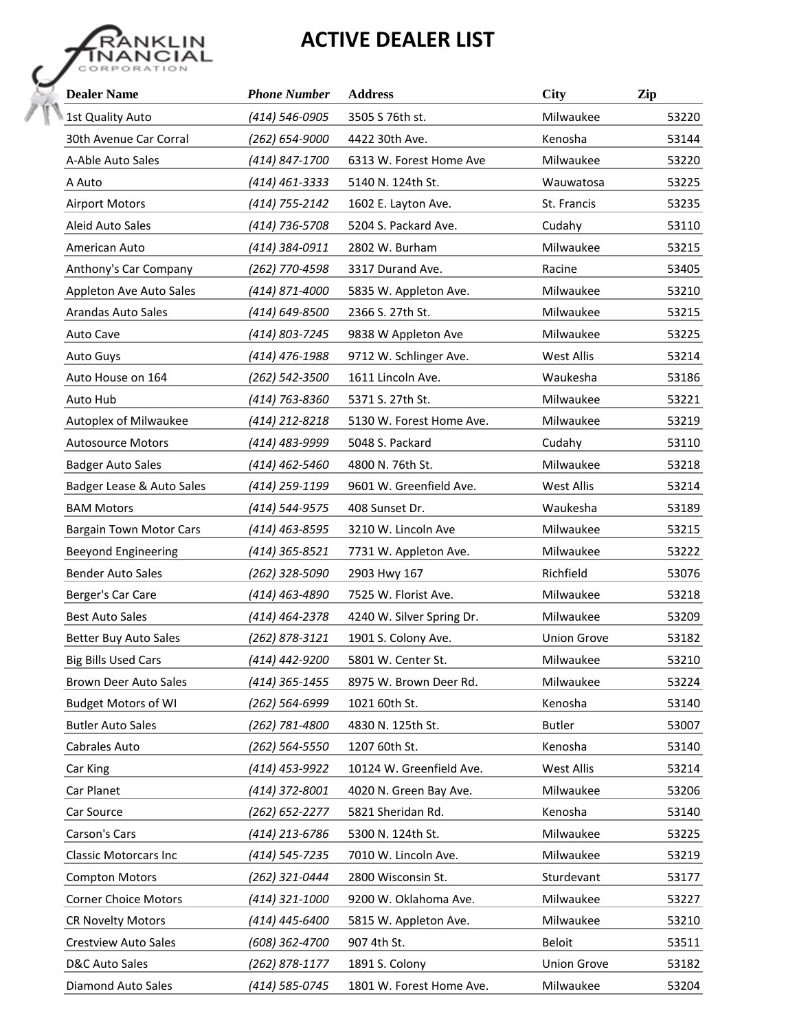## **ACTIVE DEALER LIST**



| <b>Dealer Name</b>             | <b>Phone Number</b> | <b>Address</b>            | City               | Zip   |
|--------------------------------|---------------------|---------------------------|--------------------|-------|
| 1st Quality Auto               | (414) 546-0905      | 3505 S 76th st.           | Milwaukee          | 53220 |
| 30th Avenue Car Corral         | (262) 654-9000      | 4422 30th Ave.            | Kenosha            | 53144 |
| A-Able Auto Sales              | (414) 847-1700      | 6313 W. Forest Home Ave   | Milwaukee          | 53220 |
| A Auto                         | (414) 461-3333      | 5140 N. 124th St.         | Wauwatosa          | 53225 |
| <b>Airport Motors</b>          | (414) 755-2142      | 1602 E. Layton Ave.       | St. Francis        | 53235 |
| Aleid Auto Sales               | (414) 736-5708      | 5204 S. Packard Ave.      | Cudahy             | 53110 |
| American Auto                  | (414) 384-0911      | 2802 W. Burham            | Milwaukee          | 53215 |
| Anthony's Car Company          | (262) 770-4598      | 3317 Durand Ave.          | Racine             | 53405 |
| Appleton Ave Auto Sales        | (414) 871-4000      | 5835 W. Appleton Ave.     | Milwaukee          | 53210 |
| <b>Arandas Auto Sales</b>      | (414) 649-8500      | 2366 S. 27th St.          | Milwaukee          | 53215 |
| <b>Auto Cave</b>               | (414) 803-7245      | 9838 W Appleton Ave       | Milwaukee          | 53225 |
| <b>Auto Guys</b>               | (414) 476-1988      | 9712 W. Schlinger Ave.    | <b>West Allis</b>  | 53214 |
| Auto House on 164              | (262) 542-3500      | 1611 Lincoln Ave.         | Waukesha           | 53186 |
| Auto Hub                       | (414) 763-8360      | 5371 S. 27th St.          | Milwaukee          | 53221 |
| Autoplex of Milwaukee          | (414) 212-8218      | 5130 W. Forest Home Ave.  | Milwaukee          | 53219 |
| <b>Autosource Motors</b>       | (414) 483-9999      | 5048 S. Packard           | Cudahy             | 53110 |
| <b>Badger Auto Sales</b>       | (414) 462-5460      | 4800 N. 76th St.          | Milwaukee          | 53218 |
| Badger Lease & Auto Sales      | (414) 259-1199      | 9601 W. Greenfield Ave.   | <b>West Allis</b>  | 53214 |
| <b>BAM Motors</b>              | (414) 544-9575      | 408 Sunset Dr.            | Waukesha           | 53189 |
| <b>Bargain Town Motor Cars</b> | (414) 463-8595      | 3210 W. Lincoln Ave       | Milwaukee          | 53215 |
| <b>Beeyond Engineering</b>     | (414) 365-8521      | 7731 W. Appleton Ave.     | Milwaukee          | 53222 |
| <b>Bender Auto Sales</b>       | (262) 328-5090      | 2903 Hwy 167              | Richfield          | 53076 |
| Berger's Car Care              | (414) 463-4890      | 7525 W. Florist Ave.      | Milwaukee          | 53218 |
| <b>Best Auto Sales</b>         | (414) 464-2378      | 4240 W. Silver Spring Dr. | Milwaukee          | 53209 |
| <b>Better Buy Auto Sales</b>   | (262) 878-3121      | 1901 S. Colony Ave.       | <b>Union Grove</b> | 53182 |
| <b>Big Bills Used Cars</b>     | (414) 442-9200      | 5801 W. Center St.        | Milwaukee          | 53210 |
| Brown Deer Auto Sales          | (414) 365-1455      | 8975 W. Brown Deer Rd.    | Milwaukee          | 53224 |
| <b>Budget Motors of WI</b>     | (262) 564-6999      | 1021 60th St.             | Kenosha            | 53140 |
| <b>Butler Auto Sales</b>       | (262) 781-4800      | 4830 N. 125th St.         | <b>Butler</b>      | 53007 |
| Cabrales Auto                  | (262) 564-5550      | 1207 60th St.             | Kenosha            | 53140 |
| Car King                       | (414) 453-9922      | 10124 W. Greenfield Ave.  | <b>West Allis</b>  | 53214 |
| Car Planet                     | (414) 372-8001      | 4020 N. Green Bay Ave.    | Milwaukee          | 53206 |
| Car Source                     | (262) 652-2277      | 5821 Sheridan Rd.         | Kenosha            | 53140 |
| Carson's Cars                  | (414) 213-6786      | 5300 N. 124th St.         | Milwaukee          | 53225 |
| <b>Classic Motorcars Inc</b>   | (414) 545-7235      | 7010 W. Lincoln Ave.      | Milwaukee          | 53219 |
| <b>Compton Motors</b>          | (262) 321-0444      | 2800 Wisconsin St.        | Sturdevant         | 53177 |
| <b>Corner Choice Motors</b>    | (414) 321-1000      | 9200 W. Oklahoma Ave.     | Milwaukee          | 53227 |
| <b>CR Novelty Motors</b>       | (414) 445-6400      | 5815 W. Appleton Ave.     | Milwaukee          | 53210 |
| <b>Crestview Auto Sales</b>    | (608) 362-4700      | 907 4th St.               | <b>Beloit</b>      | 53511 |
| D&C Auto Sales                 | (262) 878-1177      | 1891 S. Colony            | <b>Union Grove</b> | 53182 |
| Diamond Auto Sales             | (414) 585-0745      | 1801 W. Forest Home Ave.  | Milwaukee          | 53204 |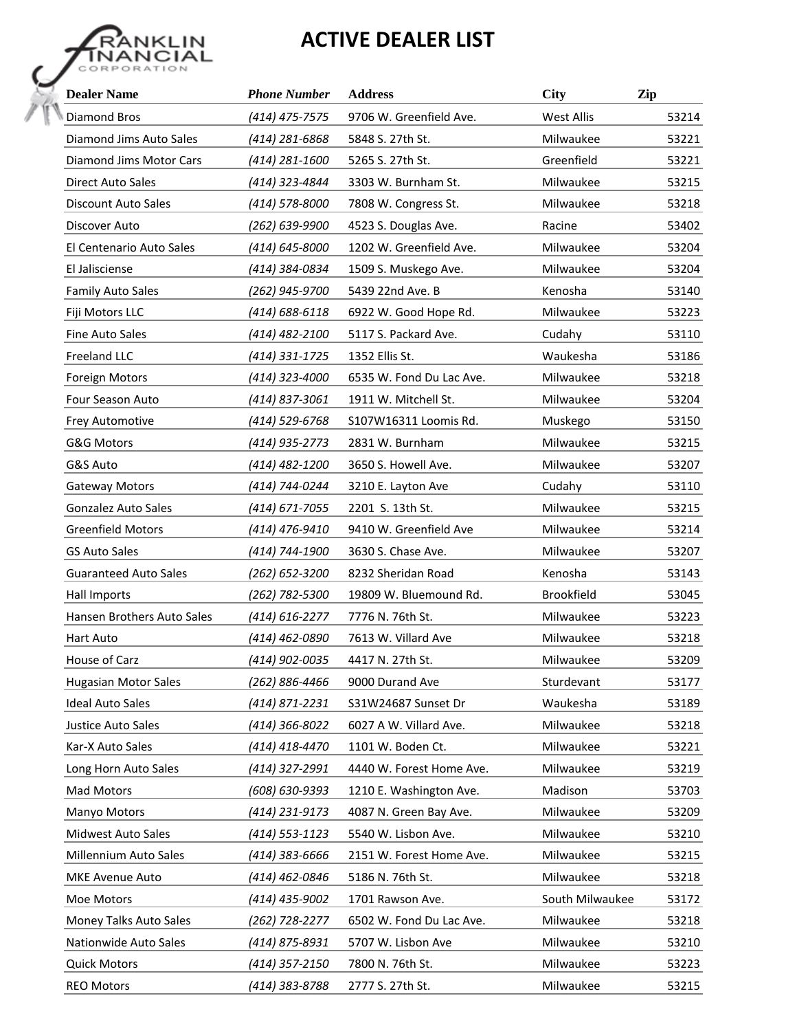## **ACTIVE DEALER LIST**



| <b>Dealer Name</b>           | <b>Phone Number</b> | <b>Address</b>           | City              | Zip   |
|------------------------------|---------------------|--------------------------|-------------------|-------|
| Diamond Bros                 | (414) 475-7575      | 9706 W. Greenfield Ave.  | <b>West Allis</b> | 53214 |
| Diamond Jims Auto Sales      | (414) 281-6868      | 5848 S. 27th St.         | Milwaukee         | 53221 |
| Diamond Jims Motor Cars      | (414) 281-1600      | 5265 S. 27th St.         | Greenfield        | 53221 |
| <b>Direct Auto Sales</b>     | (414) 323-4844      | 3303 W. Burnham St.      | Milwaukee         | 53215 |
| Discount Auto Sales          | (414) 578-8000      | 7808 W. Congress St.     | Milwaukee         | 53218 |
| Discover Auto                | (262) 639-9900      | 4523 S. Douglas Ave.     | Racine            | 53402 |
| El Centenario Auto Sales     | (414) 645-8000      | 1202 W. Greenfield Ave.  | Milwaukee         | 53204 |
| El Jalisciense               | (414) 384-0834      | 1509 S. Muskego Ave.     | Milwaukee         | 53204 |
| <b>Family Auto Sales</b>     | (262) 945-9700      | 5439 22nd Ave. B         | Kenosha           | 53140 |
| Fiji Motors LLC              | (414) 688-6118      | 6922 W. Good Hope Rd.    | Milwaukee         | 53223 |
| Fine Auto Sales              | (414) 482-2100      | 5117 S. Packard Ave.     | Cudahy            | 53110 |
| Freeland LLC                 | (414) 331-1725      | 1352 Ellis St.           | Waukesha          | 53186 |
| Foreign Motors               | (414) 323-4000      | 6535 W. Fond Du Lac Ave. | Milwaukee         | 53218 |
| <b>Four Season Auto</b>      | (414) 837-3061      | 1911 W. Mitchell St.     | Milwaukee         | 53204 |
| Frey Automotive              | (414) 529-6768      | S107W16311 Loomis Rd.    | Muskego           | 53150 |
| G&G Motors                   | (414) 935-2773      | 2831 W. Burnham          | Milwaukee         | 53215 |
| G&S Auto                     | (414) 482-1200      | 3650 S. Howell Ave.      | Milwaukee         | 53207 |
| <b>Gateway Motors</b>        | (414) 744-0244      | 3210 E. Layton Ave       | Cudahy            | 53110 |
| <b>Gonzalez Auto Sales</b>   | (414) 671-7055      | 2201 S. 13th St.         | Milwaukee         | 53215 |
| <b>Greenfield Motors</b>     | (414) 476-9410      | 9410 W. Greenfield Ave   | Milwaukee         | 53214 |
| <b>GS Auto Sales</b>         | (414) 744-1900      | 3630 S. Chase Ave.       | Milwaukee         | 53207 |
| <b>Guaranteed Auto Sales</b> | (262) 652-3200      | 8232 Sheridan Road       | Kenosha           | 53143 |
| Hall Imports                 | (262) 782-5300      | 19809 W. Bluemound Rd.   | <b>Brookfield</b> | 53045 |
| Hansen Brothers Auto Sales   | (414) 616-2277      | 7776 N. 76th St.         | Milwaukee         | 53223 |
| Hart Auto                    | (414) 462-0890      | 7613 W. Villard Ave      | Milwaukee         | 53218 |
| House of Carz                | (414) 902-0035      | 4417 N. 27th St.         | Milwaukee         | 53209 |
| <b>Hugasian Motor Sales</b>  | (262) 886-4466      | 9000 Durand Ave          | Sturdevant        | 53177 |
| <b>Ideal Auto Sales</b>      | (414) 871-2231      | S31W24687 Sunset Dr      | Waukesha          | 53189 |
| Justice Auto Sales           | (414) 366-8022      | 6027 A W. Villard Ave.   | Milwaukee         | 53218 |
| Kar-X Auto Sales             | (414) 418-4470      | 1101 W. Boden Ct.        | Milwaukee         | 53221 |
| Long Horn Auto Sales         | (414) 327-2991      | 4440 W. Forest Home Ave. | Milwaukee         | 53219 |
| Mad Motors                   | (608) 630-9393      | 1210 E. Washington Ave.  | Madison           | 53703 |
| Manyo Motors                 | (414) 231-9173      | 4087 N. Green Bay Ave.   | Milwaukee         | 53209 |
| Midwest Auto Sales           | (414) 553-1123      | 5540 W. Lisbon Ave.      | Milwaukee         | 53210 |
| Millennium Auto Sales        | (414) 383-6666      | 2151 W. Forest Home Ave. | Milwaukee         | 53215 |
| MKE Avenue Auto              | (414) 462-0846      | 5186 N. 76th St.         | Milwaukee         | 53218 |
| Moe Motors                   | (414) 435-9002      | 1701 Rawson Ave.         | South Milwaukee   | 53172 |
| Money Talks Auto Sales       | (262) 728-2277      | 6502 W. Fond Du Lac Ave. | Milwaukee         | 53218 |
| Nationwide Auto Sales        | (414) 875-8931      | 5707 W. Lisbon Ave       | Milwaukee         | 53210 |
| <b>Quick Motors</b>          | (414) 357-2150      | 7800 N. 76th St.         | Milwaukee         | 53223 |
| <b>REO Motors</b>            | (414) 383-8788      | 2777 S. 27th St.         | Milwaukee         | 53215 |